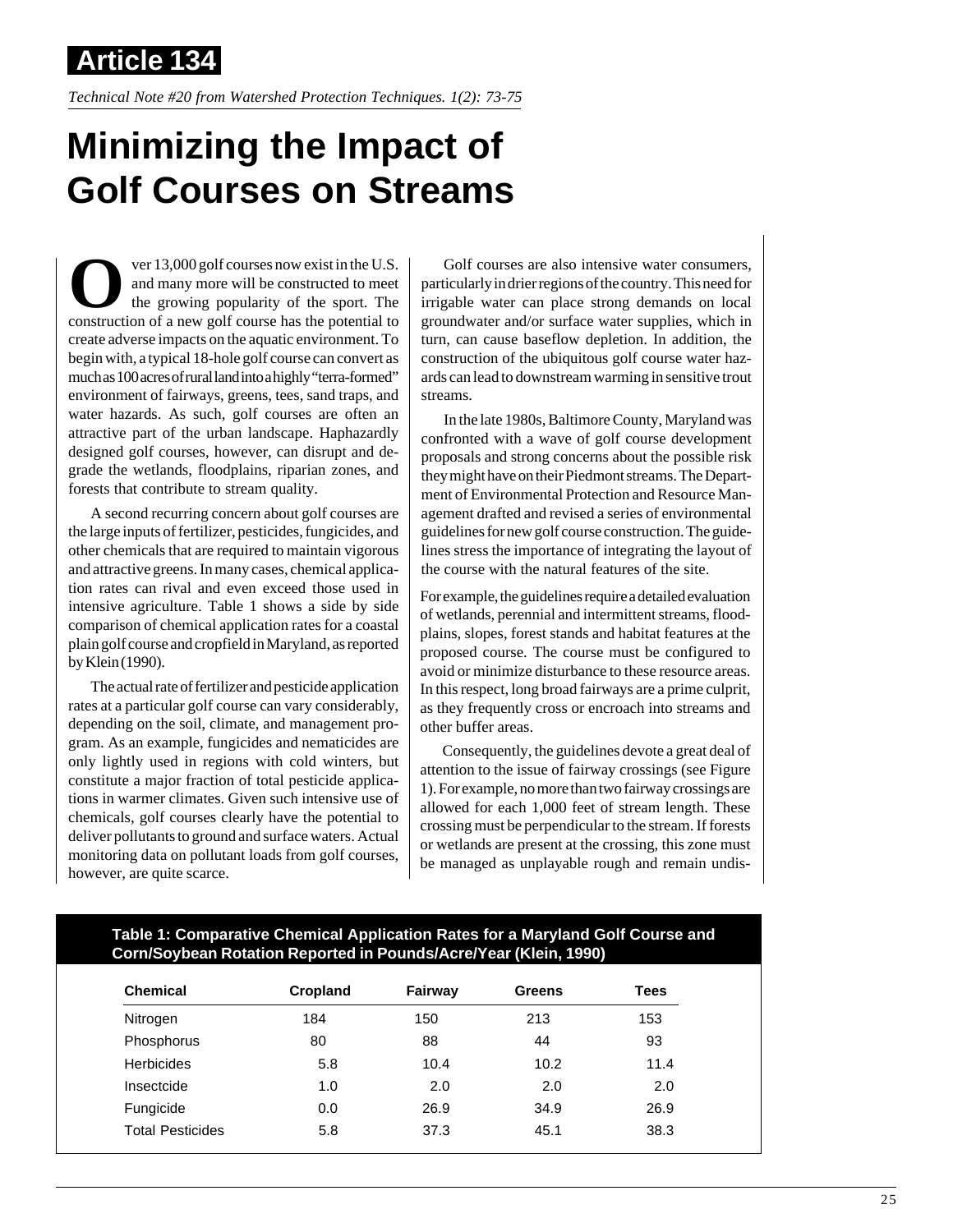**Article 134**

*Technical Note #20 from Watershed Protection Techniques. 1(2): 73-75*

## **Minimizing the Impact of Golf Courses on Streams**

**O**ver 13,000 golf courses now exist in the U.S.<br>and many more will be constructed to meet<br>the growing popularity of the sport. The<br>construction of a new golf course has the potential to and many more will be constructed to meet the growing popularity of the sport. The construction of a new golf course has the potential to create adverse impacts on the aquatic environment. To begin with, a typical 18-hole golf course can convert as much as 100 acres of rural land into a highly "terra-formed" environment of fairways, greens, tees, sand traps, and water hazards. As such, golf courses are often an attractive part of the urban landscape. Haphazardly designed golf courses, however, can disrupt and degrade the wetlands, floodplains, riparian zones, and forests that contribute to stream quality.

A second recurring concern about golf courses are the large inputs of fertilizer, pesticides, fungicides, and other chemicals that are required to maintain vigorous and attractive greens. In many cases, chemical application rates can rival and even exceed those used in intensive agriculture. Table 1 shows a side by side comparison of chemical application rates for a coastal plain golf course and cropfield in Maryland, as reported by Klein (1990).

The actual rate of fertilizer and pesticide application rates at a particular golf course can vary considerably, depending on the soil, climate, and management program. As an example, fungicides and nematicides are only lightly used in regions with cold winters, but constitute a major fraction of total pesticide applications in warmer climates. Given such intensive use of chemicals, golf courses clearly have the potential to deliver pollutants to ground and surface waters. Actual monitoring data on pollutant loads from golf courses, however, are quite scarce.

Golf courses are also intensive water consumers, particularly in drier regions of the country. This need for irrigable water can place strong demands on local groundwater and/or surface water supplies, which in turn, can cause baseflow depletion. In addition, the construction of the ubiquitous golf course water hazards can lead to downstream warming in sensitive trout streams.

In the late 1980s, Baltimore County, Maryland was confronted with a wave of golf course development proposals and strong concerns about the possible risk they might have on their Piedmont streams. The Department of Environmental Protection and Resource Management drafted and revised a series of environmental guidelines for new golf course construction. The guidelines stress the importance of integrating the layout of the course with the natural features of the site.

For example, the guidelines require a detailed evaluation of wetlands, perennial and intermittent streams, floodplains, slopes, forest stands and habitat features at the proposed course. The course must be configured to avoid or minimize disturbance to these resource areas. In this respect, long broad fairways are a prime culprit, as they frequently cross or encroach into streams and other buffer areas.

Consequently, the guidelines devote a great deal of attention to the issue of fairway crossings (see Figure 1). For example, no more than two fairway crossings are allowed for each 1,000 feet of stream length. These crossing must be perpendicular to the stream. If forests or wetlands are present at the crossing, this zone must be managed as unplayable rough and remain undis-

## **Table 1: Comparative Chemical Application Rates for a Maryland Golf Course and Corn/Soybean Rotation Reported in Pounds/Acre/Year (Klein, 1990)**

| <b>Chemical</b>         | Cropland | Fairway | <b>Greens</b> | Tees |
|-------------------------|----------|---------|---------------|------|
| Nitrogen                | 184      | 150     | 213           | 153  |
| Phosphorus              | 80       | 88      | 44            | 93   |
| <b>Herbicides</b>       | 5.8      | 10.4    | 10.2          | 11.4 |
| Insectcide              | 1.0      | 2.0     | 2.0           | 2.0  |
| Fungicide               | 0.0      | 26.9    | 34.9          | 26.9 |
| <b>Total Pesticides</b> | 5.8      | 37.3    | 45.1          | 38.3 |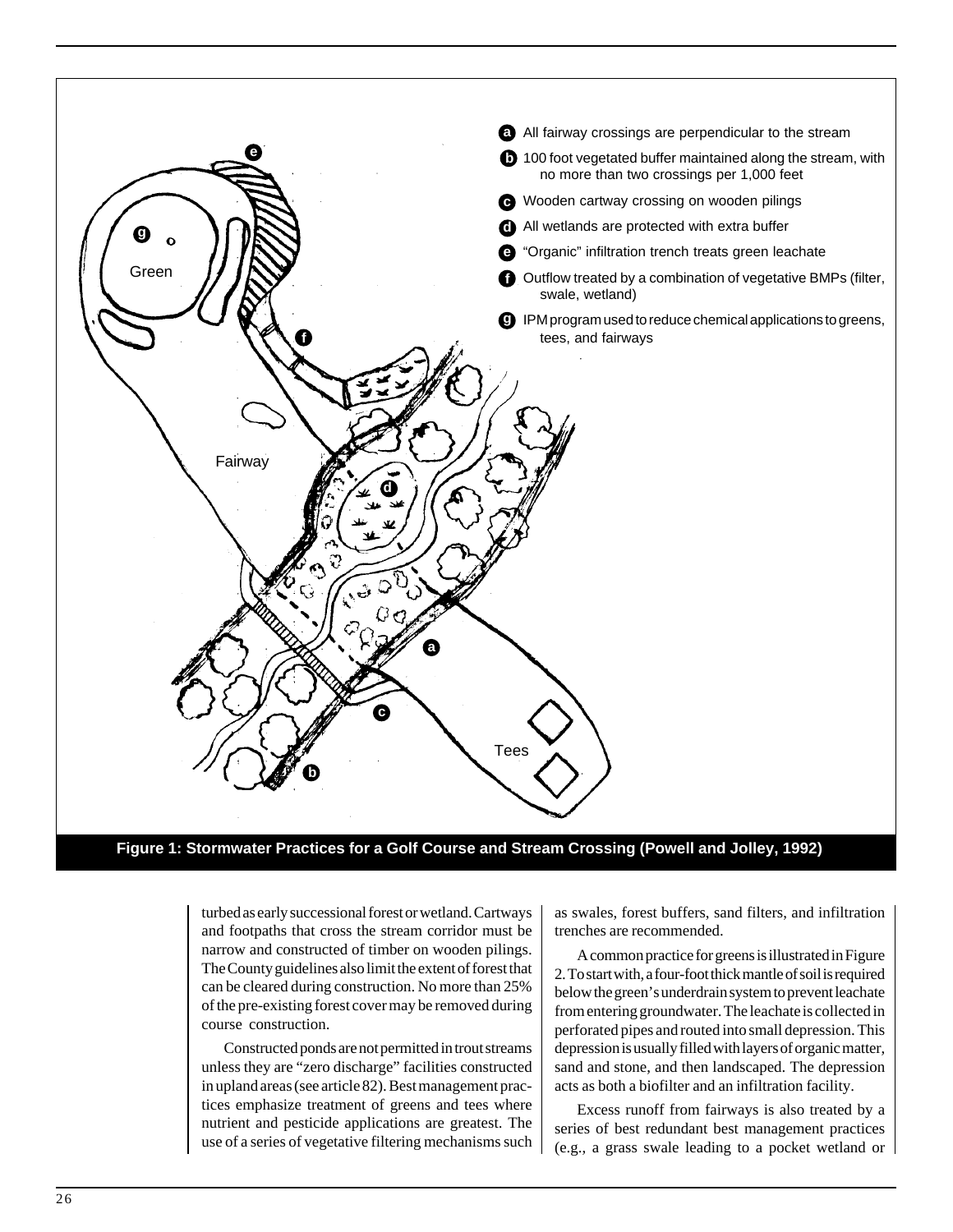

**Figure 1: Stormwater Practices for a Golf Course and Stream Crossing (Powell and Jolley, 1992)**

turbed as early successional forest or wetland. Cartways and footpaths that cross the stream corridor must be narrow and constructed of timber on wooden pilings. The County guidelines also limit the extent of forest that can be cleared during construction. No more than 25% of the pre-existing forest cover may be removed during course construction.

Constructed ponds are not permitted in trout streams unless they are "zero discharge" facilities constructed in upland areas (see article 82). Best management practices emphasize treatment of greens and tees where nutrient and pesticide applications are greatest. The use of a series of vegetative filtering mechanisms such as swales, forest buffers, sand filters, and infiltration trenches are recommended.

A common practice for greens is illustrated in Figure 2. To start with, a four-foot thick mantle of soil is required below the green's underdrain system to prevent leachate from entering groundwater. The leachate is collected in perforated pipes and routed into small depression. This depression is usually filled with layers of organic matter, sand and stone, and then landscaped. The depression acts as both a biofilter and an infiltration facility.

Excess runoff from fairways is also treated by a series of best redundant best management practices (e.g., a grass swale leading to a pocket wetland or